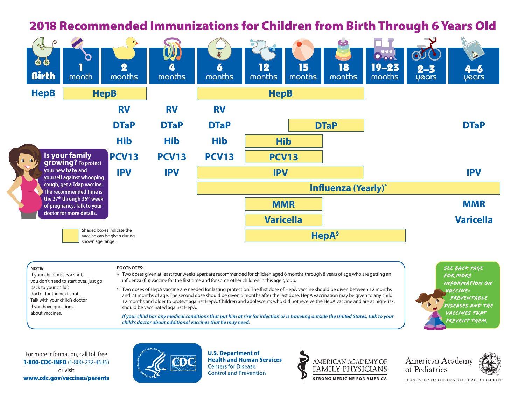## $\blacksquare$ 2018 Recommended Immunizations for Children from Birth Through 6 Years Old



## **NOTE:**

 If your child misses a shot, you don't need to start over, just go back to your child's doctor for the next shot. Talk with your child's doctor if you have questions about vaccines.

## **FOOTNOTES:**

\* Two doses given at least four weeks apart are recommended for children aged 6 months through 8 years of age who are getting an influenza (flu) vaccine for the first time and for some other children in this age group.

§ Two doses of HepA vaccine are needed for lasting protection. The first dose of HepA vaccine should be given between 12 months and 23 months of age. The second dose should be given 6 months after the last dose. HepA vaccination may be given to any child 12 months and older to protect against HepA. Children and adolescents who did not receive the HepA vaccine and are at high-risk, should be vaccinated against HepA.

 **If your child has any medical conditions that put him at risk for infection or is traveling outside the United States, talk to your child's doctor about additional vaccines that he may need.**

See back page for more information on vaccine- **PREVENTABLE** diseases and the vaccines that prevent them.

For more information, call toll free 1-800-CDC-INFO (1-800-232-4636) or visit www.cdc.gov/vaccines/parents



**U.S. Department of Health and Human Services Centers for Disease Control and Prevention** 



**American Academy** of Pediatrics



DEDICATED TO THE HEALTH OF ALL CHILDREN®